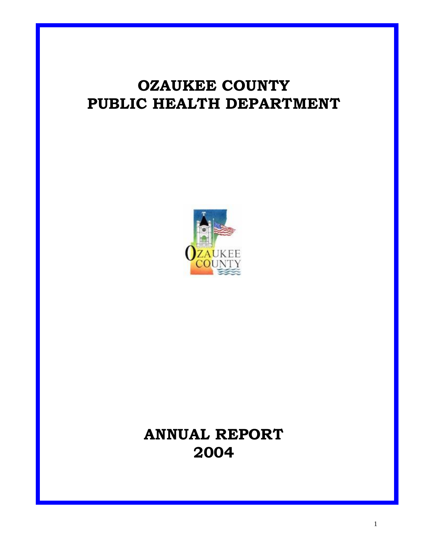# **OZAUKEE COUNTY PUBLIC HEALTH DEPARTMENT**



# **ANNUAL REPORT 2004**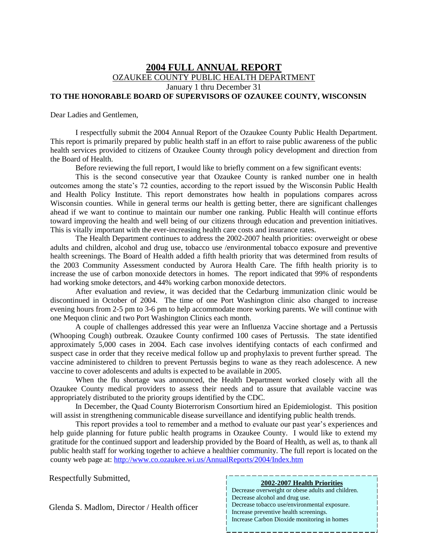#### **2004 FULL ANNUAL REPORT** OZAUKEE COUNTY PUBLIC HEALTH DEPARTMENT January 1 thru December 31 **TO THE HONORABLE BOARD OF SUPERVISORS OF OZAUKEE COUNTY, WISCONSIN**

Dear Ladies and Gentlemen,

I respectfully submit the 2004 Annual Report of the Ozaukee County Public Health Department. This report is primarily prepared by public health staff in an effort to raise public awareness of the public health services provided to citizens of Ozaukee County through policy development and direction from the Board of Health.

Before reviewing the full report, I would like to briefly comment on a few significant events:

This is the second consecutive year that Ozaukee County is ranked number one in health outcomes among the state's 72 counties, according to the report issued by the Wisconsin Public Health and Health Policy Institute. This report demonstrates how health in populations compares across Wisconsin counties. While in general terms our health is getting better, there are significant challenges ahead if we want to continue to maintain our number one ranking. Public Health will continue efforts toward improving the health and well being of our citizens through education and prevention initiatives. This is vitally important with the ever-increasing health care costs and insurance rates.

The Health Department continues to address the 2002-2007 health priorities: overweight or obese adults and children, alcohol and drug use, tobacco use /environmental tobacco exposure and preventive health screenings. The Board of Health added a fifth health priority that was determined from results of the 2003 Community Assessment conducted by Aurora Health Care. The fifth health priority is to increase the use of carbon monoxide detectors in homes. The report indicated that 99% of respondents had working smoke detectors, and 44% working carbon monoxide detectors.

After evaluation and review, it was decided that the Cedarburg immunization clinic would be discontinued in October of 2004. The time of one Port Washington clinic also changed to increase evening hours from 2-5 pm to 3-6 pm to help accommodate more working parents. We will continue with one Mequon clinic and two Port Washington Clinics each month.

A couple of challenges addressed this year were an Influenza Vaccine shortage and a Pertussis (Whooping Cough) outbreak. Ozaukee County confirmed 100 cases of Pertussis. The state identified approximately 5,000 cases in 2004. Each case involves identifying contacts of each confirmed and suspect case in order that they receive medical follow up and prophylaxis to prevent further spread. The vaccine administered to children to prevent Pertussis begins to wane as they reach adolescence. A new vaccine to cover adolescents and adults is expected to be available in 2005.

When the flu shortage was announced, the Health Department worked closely with all the Ozaukee County medical providers to assess their needs and to assure that available vaccine was appropriately distributed to the priority groups identified by the CDC.

In December, the Quad County Bioterrorism Consortium hired an Epidemiologist. This position will assist in strengthening communicable disease surveillance and identifying public health trends.

This report provides a tool to remember and a method to evaluate our past year's experiences and help guide planning for future public health programs in Ozaukee County. I would like to extend my gratitude for the continued support and leadership provided by the Board of Health, as well as, to thank all public health staff for working together to achieve a healthier community. The full report is located on the county web page at:<http://www.co.ozaukee.wi.us/AnnualReports/2004/Index.htm>

Respectfully Submitted,

**2002-2007 Health Priorities**

2

Decrease overweight or obese adults and children. Decrease alcohol and drug use. Decrease tobacco use/environmental exposure. Increase preventive health screenings. Increase Carbon Dioxide monitoring in homes

Glenda S. Madlom, Director / Health officer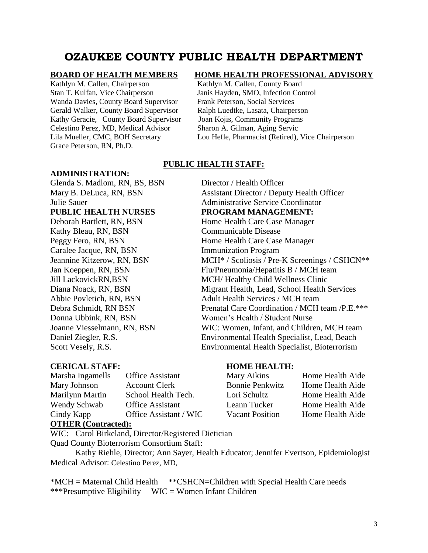# **OZAUKEE COUNTY PUBLIC HEALTH DEPARTMENT**

Kathlyn M. Callen, Chairperson Kathlyn M. Callen, County Board Stan T. Kulfan, Vice Chairperson Janis Hayden, SMO, Infection Control Wanda Davies, County Board Supervisor Frank Peterson, Social Services Gerald Walker, County Board Supervisor Ralph Luedtke, Lasata, Chairperson Kathy Geracie, County Board Supervisor Joan Kojis, Community Programs Celestino Perez, MD, Medical Advisor Sharon A. Gilman, Aging Servic Grace Peterson, RN, Ph.D.

#### **ADMINISTRATION:**

Glenda S. Madlom, RN, BS, BSN Director / Health Officer **PUBLIC HEALTH NURSES PROGRAM MANAGEMENT:**

Kathy Bleau, RN, BSN Communicable Disease Caralee Jacque, RN, BSN Immunization Program

#### **BOARD OF HEALTH MEMBERS****HOME HEALTH PROFESSIONAL ADVISORY**

Lila Mueller, CMC, BOH Secretary Lou Hefle, Pharmacist (Retired), Vice Chairperson

#### **PUBLIC HEALTH STAFF:**

Mary B. DeLuca, RN, BSN Assistant Director / Deputy Health Officer Julie Sauer Administrative Service Coordinator Deborah Bartlett, RN, BSN Home Health Care Case Manager Peggy Fero, RN, BSN Home Health Care Case Manager Jeannine Kitzerow, RN, BSN MCH<sup>\*</sup> / Scoliosis / Pre-K Screenings / CSHCN<sup>\*\*</sup> Jan Koeppen, RN, BSN Flu/Pneumonia/Hepatitis B / MCH team Jill LackovickRN,BSN MCH/ Healthy Child Wellness Clinic Diana Noack, RN, BSN Migrant Health, Lead, School Health Services Abbie Povletich, RN, BSN Adult Health Services / MCH team Debra Schmidt, RN BSN Prenatal Care Coordination / MCH team /P.E.\*\*\* Donna Ubbink, RN, BSN Women's Health / Student Nurse Joanne Viesselmann, RN, BSN WIC: Women, Infant, and Children, MCH team Daniel Ziegler, R.S. Environmental Health Specialist, Lead, Beach Scott Vesely, R.S. Environmental Health Specialist, Bioterrorism

### **CERICAL STAFF: HOME HEALTH:**

| Marsha Ingamells | <b>Office Assistant</b> |
|------------------|-------------------------|
| Mary Johnson     | <b>Account Clerk</b>    |
| Marilynn Martin  | School Health Tech.     |
| Wendy Schwab     | <b>Office Assistant</b> |
| Cindy Kapp       | Office Assistant / WIC  |
|                  |                         |

# **OTHER (Contracted):**

WIC: Carol Birkeland, Director/Registered Dietician

Quad County Bioterrorism Consortium Staff:

Kathy Riehle, Director; Ann Sayer, Health Educator; Jennifer Evertson, Epidemiologist Medical Advisor: Celestino Perez, MD,

\*MCH = Maternal Child Health \*\*CSHCN=Children with Special Health Care needs \*\*\*Presumptive Eligibility WIC = Women Infant Children

# Mary Aikins

| Mary Aikins            | Home Health Aide |
|------------------------|------------------|
| <b>Bonnie Penkwitz</b> | Home Health Aide |
| Lori Schultz           | Home Health Aide |
| Leann Tucker           | Home Health Aide |
| <b>Vacant Position</b> | Home Health Aide |
|                        |                  |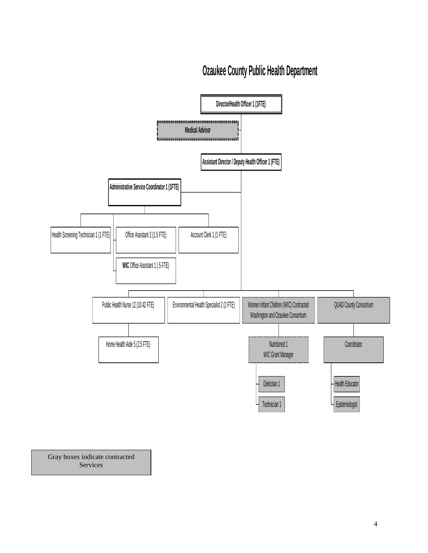# **Ozaukee County Public Health Department**



Gray boxes indicate contracted Services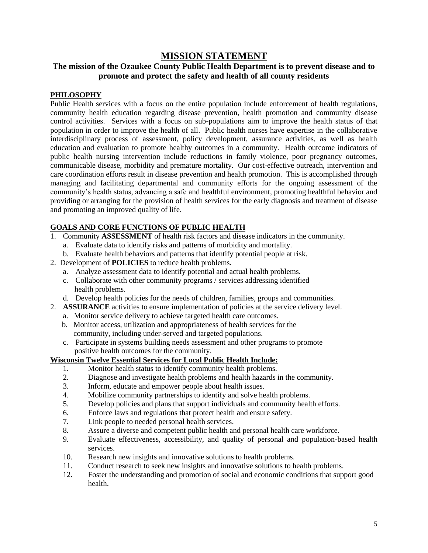## **MISSION STATEMENT**

## **The mission of the Ozaukee County Public Health Department is to prevent disease and to promote and protect the safety and health of all county residents**

#### **PHILOSOPHY**

Public Health services with a focus on the entire population include enforcement of health regulations, community health education regarding disease prevention, health promotion and community disease control activities. Services with a focus on sub-populations aim to improve the health status of that population in order to improve the health of all. Public health nurses have expertise in the collaborative interdisciplinary process of assessment, policy development, assurance activities, as well as health education and evaluation to promote healthy outcomes in a community. Health outcome indicators of public health nursing intervention include reductions in family violence, poor pregnancy outcomes, communicable disease, morbidity and premature mortality. Our cost-effective outreach, intervention and care coordination efforts result in disease prevention and health promotion. This is accomplished through managing and facilitating departmental and community efforts for the ongoing assessment of the community's health status, advancing a safe and healthful environment, promoting healthful behavior and providing or arranging for the provision of health services for the early diagnosis and treatment of disease and promoting an improved quality of life.

#### **GOALS AND CORE FUNCTIONS OF PUBLIC HEALTH**

- 1. Community **ASSESSMENT** of health risk factors and disease indicators in the community.
	- a. Evaluate data to identify risks and patterns of morbidity and mortality.
	- b. Evaluate health behaviors and patterns that identify potential people at risk.
- 2. Development of **POLICIES** to reduce health problems.
	- a. Analyze assessment data to identify potential and actual health problems.
	- c. Collaborate with other community programs / services addressing identified health problems.
	- d. Develop health policies for the needs of children, families, groups and communities.
- 2. **ASSURANCE** activities to ensure implementation of policies at the service delivery level.
	- a. Monitor service delivery to achieve targeted health care outcomes.
	- b. Monitor access, utilization and appropriateness of health services for the community, including under-served and targeted populations.
	- c. Participate in systems building needs assessment and other programs to promote positive health outcomes for the community.

#### **Wisconsin Twelve Essential Services for Local Public Health Include:**

- 1. Monitor health status to identify community health problems.
- 2. Diagnose and investigate health problems and health hazards in the community.
- 3. Inform, educate and empower people about health issues.
- 4. Mobilize community partnerships to identify and solve health problems.
- 5. Develop policies and plans that support individuals and community health efforts.
- 6. Enforce laws and regulations that protect health and ensure safety.
- 7. Link people to needed personal health services.
- 8. Assure a diverse and competent public health and personal health care workforce.
- 9. Evaluate effectiveness, accessibility, and quality of personal and population-based health services.
- 10. Research new insights and innovative solutions to health problems.
- 11. Conduct research to seek new insights and innovative solutions to health problems.
- 12. Foster the understanding and promotion of social and economic conditions that support good health.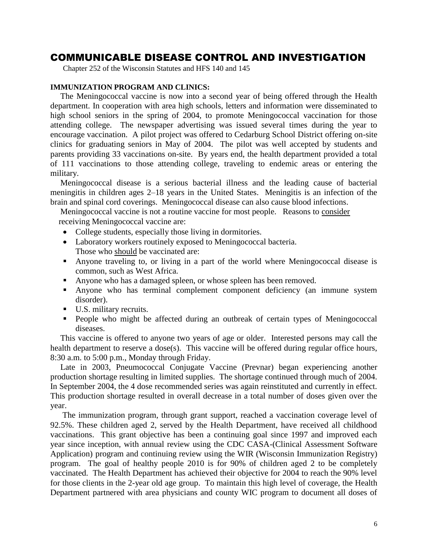# COMMUNICABLE DISEASE CONTROL AND INVESTIGATION

Chapter 252 of the Wisconsin Statutes and HFS 140 and 145

#### **IMMUNIZATION PROGRAM AND CLINICS:**

The Meningococcal vaccine is now into a second year of being offered through the Health department. In cooperation with area high schools, letters and information were disseminated to high school seniors in the spring of 2004, to promote Meningococcal vaccination for those attending college. The newspaper advertising was issued several times during the year to encourage vaccination. A pilot project was offered to Cedarburg School District offering on-site clinics for graduating seniors in May of 2004. The pilot was well accepted by students and parents providing 33 vaccinations on-site. By years end, the health department provided a total of 111 vaccinations to those attending college, traveling to endemic areas or entering the military.

Meningococcal disease is a serious bacterial illness and the leading cause of bacterial meningitis in children ages 2–18 years in the United States. Meningitis is an infection of the brain and spinal cord coverings. Meningococcal disease can also cause blood infections.

Meningococcal vaccine is not a routine vaccine for most people. Reasons to consider receiving Meningococcal vaccine are:

- College students, especially those living in dormitories.
- Laboratory workers routinely exposed to Meningococcal bacteria. Those who should be vaccinated are:
- Anyone traveling to, or living in a part of the world where Meningococcal disease is common, such as West Africa.
- Anyone who has a damaged spleen, or whose spleen has been removed.
- Anyone who has terminal complement component deficiency (an immune system disorder).
- U.S. military recruits.
- People who might be affected during an outbreak of certain types of Meningococcal diseases.

This vaccine is offered to anyone two years of age or older. Interested persons may call the health department to reserve a dose(s). This vaccine will be offered during regular office hours, 8:30 a.m. to 5:00 p.m., Monday through Friday.

Late in 2003, Pneumococcal Conjugate Vaccine (Prevnar) began experiencing another production shortage resulting in limited supplies. The shortage continued through much of 2004. In September 2004, the 4 dose recommended series was again reinstituted and currently in effect. This production shortage resulted in overall decrease in a total number of doses given over the year.

The immunization program, through grant support, reached a vaccination coverage level of 92.5%. These children aged 2, served by the Health Department, have received all childhood vaccinations. This grant objective has been a continuing goal since 1997 and improved each year since inception, with annual review using the CDC CASA-(Clinical Assessment Software Application) program and continuing review using the WIR (Wisconsin Immunization Registry) program. The goal of healthy people 2010 is for 90% of children aged 2 to be completely vaccinated. The Health Department has achieved their objective for 2004 to reach the 90% level for those clients in the 2-year old age group. To maintain this high level of coverage, the Health Department partnered with area physicians and county WIC program to document all doses of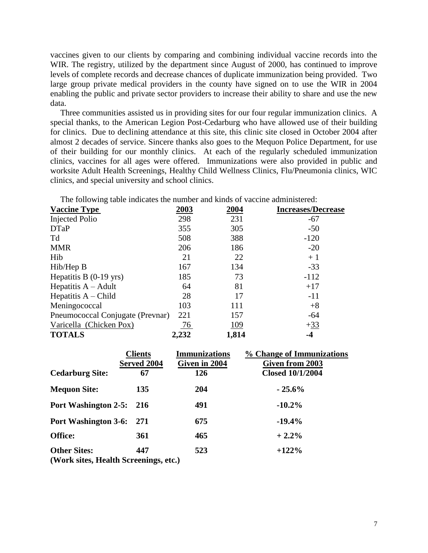vaccines given to our clients by comparing and combining individual vaccine records into the WIR. The registry, utilized by the department since August of 2000, has continued to improve levels of complete records and decrease chances of duplicate immunization being provided. Two large group private medical providers in the county have signed on to use the WIR in 2004 enabling the public and private sector providers to increase their ability to share and use the new data.

Three communities assisted us in providing sites for our four regular immunization clinics. A special thanks, to the American Legion Post-Cedarburg who have allowed use of their building for clinics. Due to declining attendance at this site, this clinic site closed in October 2004 after almost 2 decades of service. Sincere thanks also goes to the Mequon Police Department, for use of their building for our monthly clinics. At each of the regularly scheduled immunization clinics, vaccines for all ages were offered. Immunizations were also provided in public and worksite Adult Health Screenings, Healthy Child Wellness Clinics, Flu/Pneumonia clinics, WIC clinics, and special university and school clinics.

The following table indicates the number and kinds of vaccine administered:

| <b>Vaccine Type</b>              | <u>2003</u> | 2004  | <b>Increases/Decrease</b> |
|----------------------------------|-------------|-------|---------------------------|
| <b>Injected Polio</b>            | 298         | 231   | $-67$                     |
| <b>DTaP</b>                      | 355         | 305   | $-50$                     |
| Td                               | 508         | 388   | $-120$                    |
| <b>MMR</b>                       | 206         | 186   | $-20$                     |
| Hib                              | 21          | 22    | $+1$                      |
| Hib/Hep B                        | 167         | 134   | $-33$                     |
| Hepatitis B $(0-19$ yrs)         | 185         | 73    | $-112$                    |
| Hepatitis $A - A$ dult           | 64          | 81    | $+17$                     |
| Hepatitis $A - Child$            | 28          | 17    | $-11$                     |
| Meningococcal                    | 103         | 111   | $+8$                      |
| Pneumococcal Conjugate (Prevnar) | 221         | 157   | $-64$                     |
| Varicella (Chicken Pox)          | 76          | 109   | $+33$                     |
| <b>TOTALS</b>                    | 2,232       | 1,814 | -4                        |

|                                                              | <b>Clients</b><br>Served 2004 | <b>Immunizations</b><br>Given in 2004 | % Change of Immunizations<br>Given from 2003 |
|--------------------------------------------------------------|-------------------------------|---------------------------------------|----------------------------------------------|
| <b>Cedarburg Site:</b>                                       | 67                            | 126                                   | <b>Closed 10/1/2004</b>                      |
| <b>Mequon Site:</b>                                          | 135                           | <b>204</b>                            | $-25.6%$                                     |
| <b>Port Washington 2-5:</b>                                  | <b>216</b>                    | 491                                   | $-10.2\%$                                    |
| <b>Port Washington 3-6:</b>                                  | 271                           | 675                                   | $-19.4%$                                     |
| <b>Office:</b>                                               | 361                           | 465                                   | $+2.2%$                                      |
| <b>Other Sites:</b><br>(Work sites, Health Screenings, etc.) | 447                           | 523                                   | $+122%$                                      |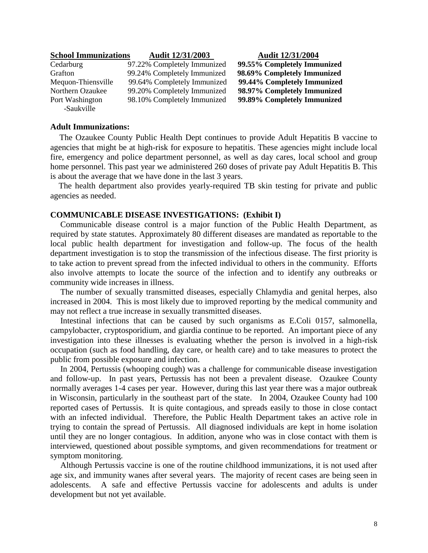#### **School Immunizations Audit 12/31/2003 Audit 12/31/2004**

-Saukville

Cedarburg 97.22% Completely Immunized **99.55% Completely Immunized**  Grafton 99.24% Completely Immunized **98.69% Completely Immunized** Mequon-Thiensville 99.64% Completely Immunized **99.44% Completely Immunized** Northern Ozaukee 99.20% Completely Immunized **98.97% Completely Immunized** Port Washington 98.10% Completely Immunized **99.89% Completely Immunized**

#### **Adult Immunizations:**

 The Ozaukee County Public Health Dept continues to provide Adult Hepatitis B vaccine to agencies that might be at high-risk for exposure to hepatitis. These agencies might include local fire, emergency and police department personnel, as well as day cares, local school and group home personnel. This past year we administered 260 doses of private pay Adult Hepatitis B. This is about the average that we have done in the last 3 years.

 The health department also provides yearly-required TB skin testing for private and public agencies as needed.

#### **COMMUNICABLE DISEASE INVESTIGATIONS: (Exhibit I)**

Communicable disease control is a major function of the Public Health Department, as required by state statutes. Approximately 80 different diseases are mandated as reportable to the local public health department for investigation and follow-up. The focus of the health department investigation is to stop the transmission of the infectious disease. The first priority is to take action to prevent spread from the infected individual to others in the community. Efforts also involve attempts to locate the source of the infection and to identify any outbreaks or community wide increases in illness.

The number of sexually transmitted diseases, especially Chlamydia and genital herpes, also increased in 2004. This is most likely due to improved reporting by the medical community and may not reflect a true increase in sexually transmitted diseases.

Intestinal infections that can be caused by such organisms as E.Coli 0157, salmonella, campylobacter, cryptosporidium, and giardia continue to be reported. An important piece of any investigation into these illnesses is evaluating whether the person is involved in a high-risk occupation (such as food handling, day care, or health care) and to take measures to protect the public from possible exposure and infection.

In 2004, Pertussis (whooping cough) was a challenge for communicable disease investigation and follow-up. In past years, Pertussis has not been a prevalent disease. Ozaukee County normally averages 1-4 cases per year. However, during this last year there was a major outbreak in Wisconsin, particularly in the southeast part of the state. In 2004, Ozaukee County had 100 reported cases of Pertussis. It is quite contagious, and spreads easily to those in close contact with an infected individual. Therefore, the Public Health Department takes an active role in trying to contain the spread of Pertussis. All diagnosed individuals are kept in home isolation until they are no longer contagious. In addition, anyone who was in close contact with them is interviewed, questioned about possible symptoms, and given recommendations for treatment or symptom monitoring.

Although Pertussis vaccine is one of the routine childhood immunizations, it is not used after age six, and immunity wanes after several years. The majority of recent cases are being seen in adolescents. A safe and effective Pertussis vaccine for adolescents and adults is under development but not yet available.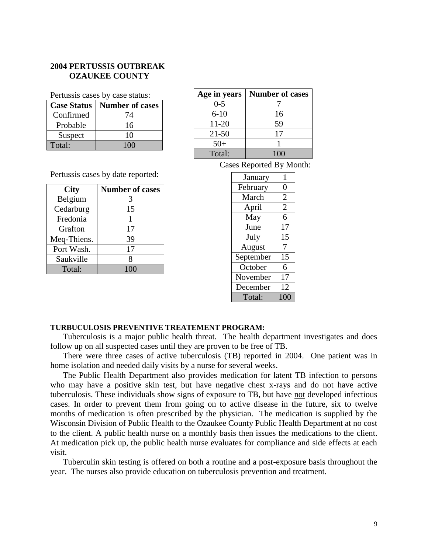#### **2004 PERTUSSIS OUTBREAK OZAUKEE COUNTY**

Pertussis cases by case status:

| <b>Case Status</b> | <b>Number of cases</b> |
|--------------------|------------------------|
| Confirmed          | 74                     |
| Probable           | 16                     |
| Suspect            | 10                     |
| Total:             |                        |

| Age in years | <b>Number of cases</b> |
|--------------|------------------------|
| $0 - 5$      |                        |
| $6 - 10$     | 16                     |
| $11 - 20$    | 59                     |
| $21 - 50$    | 17                     |
| $50+$        |                        |
| Total:       | 100                    |

Cases Reported By Month:

| January   | 1              |
|-----------|----------------|
| February  | 0              |
| March     | $\overline{2}$ |
| April     | $\overline{c}$ |
| May       | 6              |
| June      | 17             |
| July      | 15             |
| August    | 7              |
| September | 15             |
| October   | 6              |
| November  | 17             |
| December  | 12             |
| Total:    | 100            |

Pertussis cases by date reported:

| <b>City</b> | <b>Number of cases</b> |
|-------------|------------------------|
| Belgium     | 3                      |
| Cedarburg   | 15                     |
| Fredonia    |                        |
| Grafton     | 17                     |
| Meq-Thiens. | 39                     |
| Port Wash.  | 17                     |
| Saukville   | 8                      |
| Total:      | 100                    |

#### **TURBUCULOSIS PREVENTIVE TREATEMENT PROGRAM:**

Tuberculosis is a major public health threat. The health department investigates and does follow up on all suspected cases until they are proven to be free of TB.

There were three cases of active tuberculosis (TB) reported in 2004. One patient was in home isolation and needed daily visits by a nurse for several weeks.

The Public Health Department also provides medication for latent TB infection to persons who may have a positive skin test, but have negative chest x-rays and do not have active tuberculosis. These individuals show signs of exposure to TB, but have not developed infectious cases. In order to prevent them from going on to active disease in the future, six to twelve months of medication is often prescribed by the physician. The medication is supplied by the Wisconsin Division of Public Health to the Ozaukee County Public Health Department at no cost to the client. A public health nurse on a monthly basis then issues the medications to the client. At medication pick up, the public health nurse evaluates for compliance and side effects at each visit.

Tuberculin skin testing is offered on both a routine and a post-exposure basis throughout the year. The nurses also provide education on tuberculosis prevention and treatment.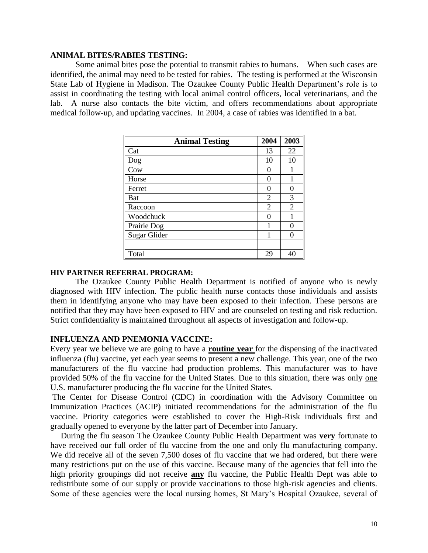#### **ANIMAL BITES/RABIES TESTING:**

Some animal bites pose the potential to transmit rabies to humans. When such cases are identified, the animal may need to be tested for rabies. The testing is performed at the Wisconsin State Lab of Hygiene in Madison. The Ozaukee County Public Health Department's role is to assist in coordinating the testing with local animal control officers, local veterinarians, and the lab. A nurse also contacts the bite victim, and offers recommendations about appropriate medical follow-up, and updating vaccines. In 2004, a case of rabies was identified in a bat.

| <b>Animal Testing</b> | 2004           | 2003              |
|-----------------------|----------------|-------------------|
| Cat                   | 13             | 22                |
| Dog                   | 10             | 10                |
| Cow                   | 0              |                   |
| Horse                 | 0              |                   |
| Ferret                | $\left($       | $\theta$          |
| <b>Bat</b>            | $\overline{2}$ | 3                 |
| Raccoon               | 2              | 2                 |
| Woodchuck             | 0              |                   |
| Prairie Dog           |                | $\mathbf{\Omega}$ |
| <b>Sugar Glider</b>   |                | $\left( \right)$  |
|                       |                |                   |
| Total                 | 29             | 40                |

#### **HIV PARTNER REFERRAL PROGRAM:**

The Ozaukee County Public Health Department is notified of anyone who is newly diagnosed with HIV infection. The public health nurse contacts those individuals and assists them in identifying anyone who may have been exposed to their infection. These persons are notified that they may have been exposed to HIV and are counseled on testing and risk reduction. Strict confidentiality is maintained throughout all aspects of investigation and follow-up.

#### **INFLUENZA AND PNEMONIA VACCINE:**

Every year we believe we are going to have a **routine year** for the dispensing of the inactivated influenza (flu) vaccine, yet each year seems to present a new challenge. This year, one of the two manufacturers of the flu vaccine had production problems. This manufacturer was to have provided 50% of the flu vaccine for the United States. Due to this situation, there was only one U.S. manufacturer producing the flu vaccine for the United States.

The Center for Disease Control (CDC) in coordination with the Advisory Committee on Immunization Practices (ACIP) initiated recommendations for the administration of the flu vaccine. Priority categories were established to cover the High-Risk individuals first and gradually opened to everyone by the latter part of December into January.

 During the flu season The Ozaukee County Public Health Department was **very** fortunate to have received our full order of flu vaccine from the one and only flu manufacturing company. We did receive all of the seven 7,500 doses of flu vaccine that we had ordered, but there were many restrictions put on the use of this vaccine. Because many of the agencies that fell into the high priority groupings did not receive **any** flu vaccine, the Public Health Dept was able to redistribute some of our supply or provide vaccinations to those high-risk agencies and clients. Some of these agencies were the local nursing homes, St Mary's Hospital Ozaukee, several of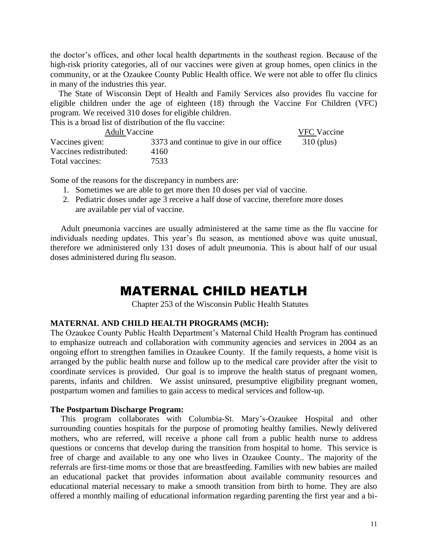the doctor's offices, and other local health departments in the southeast region. Because of the high-risk priority categories, all of our vaccines were given at group homes, open clinics in the community, or at the Ozaukee County Public Health office. We were not able to offer flu clinics in many of the industries this year.

 The State of Wisconsin Dept of Health and Family Services also provides flu vaccine for eligible children under the age of eighteen (18) through the Vaccine For Children (VFC) program. We received 310 doses for eligible children.

This is a broad list of distribution of the flu vaccine:

| <b>Adult Vaccine</b>    | <b>VFC</b> Vaccine                      |              |
|-------------------------|-----------------------------------------|--------------|
| Vaccines given:         | 3373 and continue to give in our office | $310$ (plus) |
| Vaccines redistributed: | 4160                                    |              |
| Total vaccines:         | 7533                                    |              |

Some of the reasons for the discrepancy in numbers are:

- 1. Sometimes we are able to get more then 10 doses per vial of vaccine.
- 2. Pediatric doses under age 3 receive a half dose of vaccine, therefore more doses are available per vial of vaccine.

 Adult pneumonia vaccines are usually administered at the same time as the flu vaccine for individuals needing updates. This year's flu season, as mentioned above was quite unusual, therefore we administered only 131 doses of adult pneumonia. This is about half of our usual doses administered during flu season.

# MATERNAL CHILD HEATLH

Chapter 253 of the Wisconsin Public Health Statutes

### **MATERNAL AND CHILD HEALTH PROGRAMS (MCH):**

The Ozaukee County Public Health Department's Maternal Child Health Program has continued to emphasize outreach and collaboration with community agencies and services in 2004 as an ongoing effort to strengthen families in Ozaukee County. If the family requests, a home visit is arranged by the public health nurse and follow up to the medical care provider after the visit to coordinate services is provided. Our goal is to improve the health status of pregnant women, parents, infants and children. We assist uninsured, presumptive eligibility pregnant women, postpartum women and families to gain access to medical services and follow-up.

#### **The Postpartum Discharge Program:**

 This program collaborates with Columbia-St. Mary's-Ozaukee Hospital and other surrounding counties hospitals for the purpose of promoting healthy families. Newly delivered mothers, who are referred, will receive a phone call from a public health nurse to address questions or concerns that develop during the transition from hospital to home. This service is free of charge and available to any one who lives in Ozaukee County.. The majority of the referrals are first-time moms or those that are breastfeeding. Families with new babies are mailed an educational packet that provides information about available community resources and educational material necessary to make a smooth transition from birth to home. They are also offered a monthly mailing of educational information regarding parenting the first year and a bi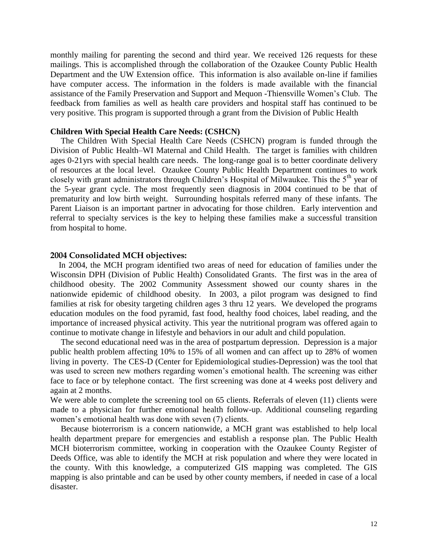monthly mailing for parenting the second and third year. We received 126 requests for these mailings. This is accomplished through the collaboration of the Ozaukee County Public Health Department and the UW Extension office. This information is also available on-line if families have computer access. The information in the folders is made available with the financial assistance of the Family Preservation and Support and Mequon -Thiensville Women's Club. The feedback from families as well as health care providers and hospital staff has continued to be very positive. This program is supported through a grant from the Division of Public Health

#### **Children With Special Health Care Needs: (CSHCN)**

 The Children With Special Health Care Needs (CSHCN) program is funded through the Division of Public Health–WI Maternal and Child Health. The target is families with children ages 0-21yrs with special health care needs. The long-range goal is to better coordinate delivery of resources at the local level. Ozaukee County Public Health Department continues to work closely with grant administrators through Children's Hospital of Milwaukee. This the  $5<sup>th</sup>$  year of the 5-year grant cycle. The most frequently seen diagnosis in 2004 continued to be that of prematurity and low birth weight. Surrounding hospitals referred many of these infants. The Parent Liaison is an important partner in advocating for those children. Early intervention and referral to specialty services is the key to helping these families make a successful transition from hospital to home.

#### **2004 Consolidated MCH objectives:**

 In 2004, the MCH program identified two areas of need for education of families under the Wisconsin DPH (Division of Public Health) Consolidated Grants. The first was in the area of childhood obesity. The 2002 Community Assessment showed our county shares in the nationwide epidemic of childhood obesity. In 2003, a pilot program was designed to find families at risk for obesity targeting children ages 3 thru 12 years. We developed the programs education modules on the food pyramid, fast food, healthy food choices, label reading, and the importance of increased physical activity. This year the nutritional program was offered again to continue to motivate change in lifestyle and behaviors in our adult and child population.

 The second educational need was in the area of postpartum depression. Depression is a major public health problem affecting 10% to 15% of all women and can affect up to 28% of women living in poverty. The CES-D (Center for Epidemiological studies-Depression) was the tool that was used to screen new mothers regarding women's emotional health. The screening was either face to face or by telephone contact. The first screening was done at 4 weeks post delivery and again at 2 months.

We were able to complete the screening tool on 65 clients. Referrals of eleven (11) clients were made to a physician for further emotional health follow-up. Additional counseling regarding women's emotional health was done with seven (7) clients.

 Because bioterrorism is a concern nationwide, a MCH grant was established to help local health department prepare for emergencies and establish a response plan. The Public Health MCH bioterrorism committee, working in cooperation with the Ozaukee County Register of Deeds Office, was able to identify the MCH at risk population and where they were located in the county. With this knowledge, a computerized GIS mapping was completed. The GIS mapping is also printable and can be used by other county members, if needed in case of a local disaster.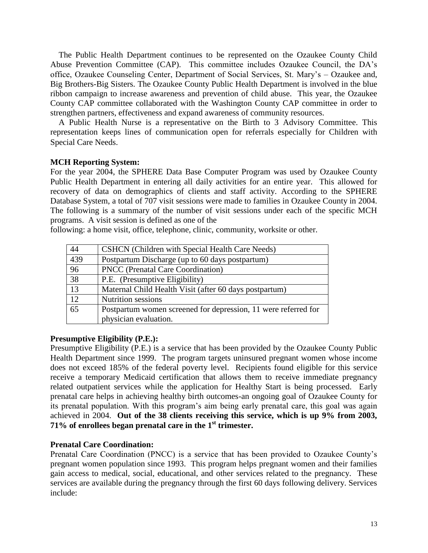The Public Health Department continues to be represented on the Ozaukee County Child Abuse Prevention Committee (CAP). This committee includes Ozaukee Council, the DA's office, Ozaukee Counseling Center, Department of Social Services, St. Mary's – Ozaukee and, Big Brothers-Big Sisters. The Ozaukee County Public Health Department is involved in the blue ribbon campaign to increase awareness and prevention of child abuse. This year, the Ozaukee County CAP committee collaborated with the Washington County CAP committee in order to strengthen partners, effectiveness and expand awareness of community resources.

 A Public Health Nurse is a representative on the Birth to 3 Advisory Committee. This representation keeps lines of communication open for referrals especially for Children with Special Care Needs.

#### **MCH Reporting System:**

For the year 2004, the SPHERE Data Base Computer Program was used by Ozaukee County Public Health Department in entering all daily activities for an entire year. This allowed for recovery of data on demographics of clients and staff activity. According to the SPHERE Database System, a total of 707 visit sessions were made to families in Ozaukee County in 2004. The following is a summary of the number of visit sessions under each of the specific MCH programs. A visit session is defined as one of the

following: a home visit, office, telephone, clinic, community, worksite or other.

| 44              | CSHCN (Children with Special Health Care Needs)                |
|-----------------|----------------------------------------------------------------|
| 439             | Postpartum Discharge (up to 60 days postpartum)                |
| 96              | <b>PNCC</b> (Prenatal Care Coordination)                       |
| 38              | P.E. (Presumptive Eligibility)                                 |
| $\overline{13}$ | Maternal Child Health Visit (after 60 days postpartum)         |
| 12              | <b>Nutrition</b> sessions                                      |
| 65              | Postpartum women screened for depression, 11 were referred for |
|                 | physician evaluation.                                          |

#### **Presumptive Eligibility (P.E.):**

Presumptive Eligibility (P.E.) is a service that has been provided by the Ozaukee County Public Health Department since 1999. The program targets uninsured pregnant women whose income does not exceed 185% of the federal poverty level. Recipients found eligible for this service receive a temporary Medicaid certification that allows them to receive immediate pregnancy related outpatient services while the application for Healthy Start is being processed. Early prenatal care helps in achieving healthy birth outcomes-an ongoing goal of Ozaukee County for its prenatal population. With this program's aim being early prenatal care, this goal was again achieved in 2004. **Out of the 38 clients receiving this service, which is up 9% from 2003, 71% of enrollees began prenatal care in the 1 st trimester.**

#### **Prenatal Care Coordination:**

Prenatal Care Coordination (PNCC) is a service that has been provided to Ozaukee County's pregnant women population since 1993. This program helps pregnant women and their families gain access to medical, social, educational, and other services related to the pregnancy. These services are available during the pregnancy through the first 60 days following delivery. Services include: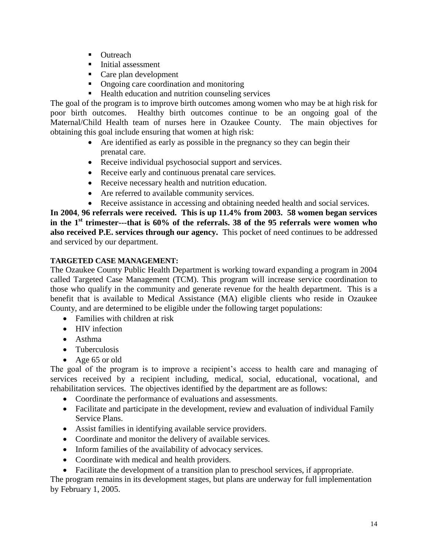- Outreach
- **Initial assessment**
- Care plan development
- Ongoing care coordination and monitoring
- Health education and nutrition counseling services

The goal of the program is to improve birth outcomes among women who may be at high risk for poor birth outcomes. Healthy birth outcomes continue to be an ongoing goal of the Maternal/Child Health team of nurses here in Ozaukee County. The main objectives for obtaining this goal include ensuring that women at high risk:

- Are identified as early as possible in the pregnancy so they can begin their prenatal care.
- Receive individual psychosocial support and services.
- Receive early and continuous prenatal care services.
- Receive necessary health and nutrition education.
- Are referred to available community services.
- Receive assistance in accessing and obtaining needed health and social services.

**In 2004**, **96 referrals were received. This is up 11.4% from 2003. 58 women began services in the 1st trimester---that is 60% of the referrals. 38 of the 95 referrals were women who also received P.E. services through our agency.** This pocket of need continues to be addressed and serviced by our department.

### **TARGETED CASE MANAGEMENT:**

The Ozaukee County Public Health Department is working toward expanding a program in 2004 called Targeted Case Management (TCM). This program will increase service coordination to those who qualify in the community and generate revenue for the health department. This is a benefit that is available to Medical Assistance (MA) eligible clients who reside in Ozaukee County, and are determined to be eligible under the following target populations:

- Families with children at risk
- HIV infection
- Asthma
- Tuberculosis
- Age 65 or old

The goal of the program is to improve a recipient's access to health care and managing of services received by a recipient including, medical, social, educational, vocational, and rehabilitation services. The objectives identified by the department are as follows:

- Coordinate the performance of evaluations and assessments.
- Facilitate and participate in the development, review and evaluation of individual Family Service Plans.
- Assist families in identifying available service providers.
- Coordinate and monitor the delivery of available services.
- Inform families of the availability of advocacy services.
- Coordinate with medical and health providers.
- Facilitate the development of a transition plan to preschool services, if appropriate.

The program remains in its development stages, but plans are underway for full implementation by February 1, 2005.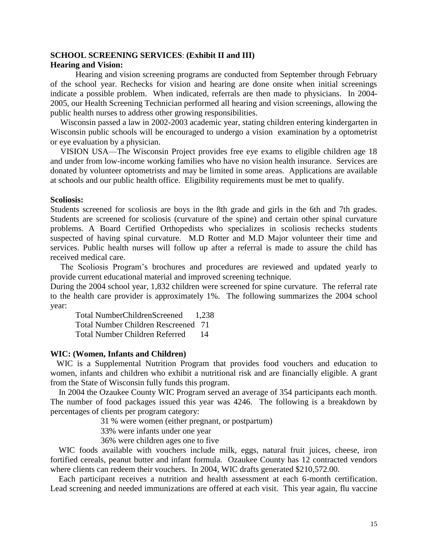#### **SCHOOL SCREENING SERVICES**: **(Exhibit II and III) Hearing and Vision:**

Hearing and vision screening programs are conducted from September through February of the school year. Rechecks for vision and hearing are done onsite when initial screenings indicate a possible problem. When indicated, referrals are then made to physicians. In 2004- 2005, our Health Screening Technician performed all hearing and vision screenings, allowing the public health nurses to address other growing responsibilities.

Wisconsin passed a law in 2002-2003 academic year, stating children entering kindergarten in Wisconsin public schools will be encouraged to undergo a vision examination by a optometrist or eye evaluation by a physician.

VISION USA—The Wisconsin Project provides free eye exams to eligible children age 18 and under from low-income working families who have no vision health insurance. Services are donated by volunteer optometrists and may be limited in some areas. Applications are available at schools and our public health office. Eligibility requirements must be met to qualify.

#### **Scoliosis:**

Students screened for scoliosis are boys in the 8th grade and girls in the 6th and 7th grades. Students are screened for scoliosis (curvature of the spine) and certain other spinal curvature problems. A Board Certified Orthopedists who specializes in scoliosis rechecks students suspected of having spinal curvature. M.D Rotter and M.D Major volunteer their time and services. Public health nurses will follow up after a referral is made to assure the child has received medical care.

The Scoliosis Program's brochures and procedures are reviewed and updated yearly to provide current educational material and improved screening technique.

During the 2004 school year, 1,832 children were screened for spine curvature. The referral rate to the health care provider is approximately 1%. The following summarizes the 2004 school year:

Total NumberChildrenScreened 1,238 Total Number Children Rescreened 71 Total Number Children Referred 14

#### **WIC: (Women, Infants and Children)**

 WIC is a Supplemental Nutrition Program that provides food vouchers and education to women, infants and children who exhibit a nutritional risk and are financially eligible. A grant from the State of Wisconsin fully funds this program.

 In 2004 the Ozaukee County WIC Program served an average of 354 participants each month. The number of food packages issued this year was 4246. The following is a breakdown by percentages of clients per program category:

31 % were women (either pregnant, or postpartum)

33% were infants under one year

36% were children ages one to five

WIC foods available with vouchers include milk, eggs, natural fruit juices, cheese, iron fortified cereals, peanut butter and infant formula. Ozaukee County has 12 contracted vendors where clients can redeem their vouchers. In 2004, WIC drafts generated \$210,572.00.

 Each participant receives a nutrition and health assessment at each 6-month certification. Lead screening and needed immunizations are offered at each visit. This year again, flu vaccine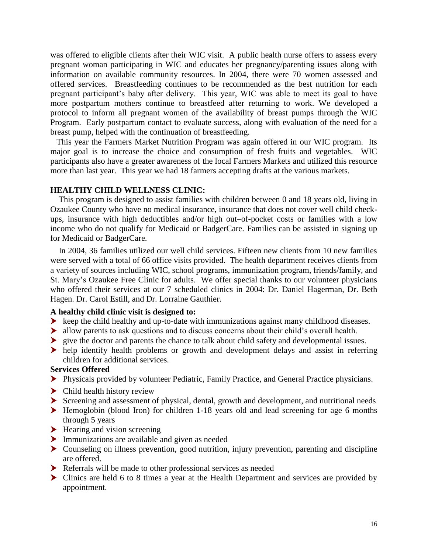was offered to eligible clients after their WIC visit. A public health nurse offers to assess every pregnant woman participating in WIC and educates her pregnancy/parenting issues along with information on available community resources. In 2004, there were 70 women assessed and offered services. Breastfeeding continues to be recommended as the best nutrition for each pregnant participant's baby after delivery. This year, WIC was able to meet its goal to have more postpartum mothers continue to breastfeed after returning to work. We developed a protocol to inform all pregnant women of the availability of breast pumps through the WIC Program. Early postpartum contact to evaluate success, along with evaluation of the need for a breast pump, helped with the continuation of breastfeeding.

 This year the Farmers Market Nutrition Program was again offered in our WIC program. Its major goal is to increase the choice and consumption of fresh fruits and vegetables. WIC participants also have a greater awareness of the local Farmers Markets and utilized this resource more than last year. This year we had 18 farmers accepting drafts at the various markets.

#### **HEALTHY CHILD WELLNESS CLINIC:**

 This program is designed to assist families with children between 0 and 18 years old, living in Ozaukee County who have no medical insurance, insurance that does not cover well child checkups, insurance with high deductibles and/or high out–of-pocket costs or families with a low income who do not qualify for Medicaid or BadgerCare. Families can be assisted in signing up for Medicaid or BadgerCare.

 In 2004, 36 families utilized our well child services. Fifteen new clients from 10 new families were served with a total of 66 office visits provided. The health department receives clients from a variety of sources including WIC, school programs, immunization program, friends/family, and St. Mary's Ozaukee Free Clinic for adults. We offer special thanks to our volunteer physicians who offered their services at our 7 scheduled clinics in 2004: Dr. Daniel Hagerman, Dr. Beth Hagen. Dr. Carol Estill, and Dr. Lorraine Gauthier.

#### **A healthy child clinic visit is designed to:**

- $\blacktriangleright$  keep the child healthy and up-to-date with immunizations against many childhood diseases.
- allow parents to ask questions and to discuss concerns about their child's overall health.
- give the doctor and parents the chance to talk about child safety and developmental issues.
- help identify health problems or growth and development delays and assist in referring children for additional services.

#### **Services Offered**

- Physicals provided by volunteer Pediatric, Family Practice, and General Practice physicians.
- $\blacktriangleright$  Child health history review
- Screening and assessment of physical, dental, growth and development, and nutritional needs
- Hemoglobin (blood Iron) for children 1-18 years old and lead screening for age 6 months through 5 years
- $\blacktriangleright$  Hearing and vision screening
- Immunizations are available and given as needed
- Counseling on illness prevention, good nutrition, injury prevention, parenting and discipline are offered.
- **EXECUTE:** Referrals will be made to other professional services as needed
- Clinics are held 6 to 8 times a year at the Health Department and services are provided by appointment.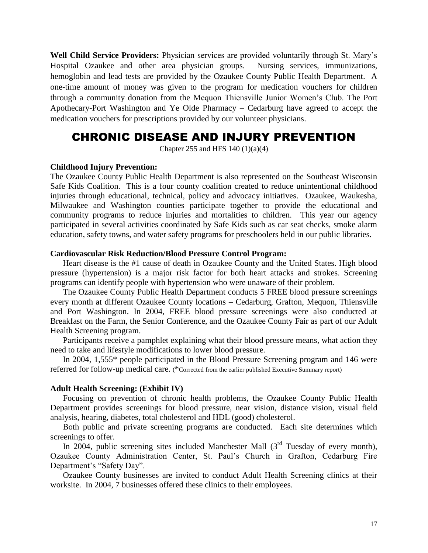**Well Child Service Providers:** Physician services are provided voluntarily through St. Mary's Hospital Ozaukee and other area physician groups. Nursing services, immunizations, hemoglobin and lead tests are provided by the Ozaukee County Public Health Department. A one-time amount of money was given to the program for medication vouchers for children through a community donation from the Mequon Thiensville Junior Women's Club. The Port Apothecary-Port Washington and Ye Olde Pharmacy – Cedarburg have agreed to accept the medication vouchers for prescriptions provided by our volunteer physicians.

# CHRONIC DISEASE AND INJURY PREVENTION

Chapter 255 and HFS  $140(1)(a)(4)$ 

#### **Childhood Injury Prevention:**

The Ozaukee County Public Health Department is also represented on the Southeast Wisconsin Safe Kids Coalition. This is a four county coalition created to reduce unintentional childhood injuries through educational, technical, policy and advocacy initiatives. Ozaukee, Waukesha, Milwaukee and Washington counties participate together to provide the educational and community programs to reduce injuries and mortalities to children. This year our agency participated in several activities coordinated by Safe Kids such as car seat checks, smoke alarm education, safety towns, and water safety programs for preschoolers held in our public libraries.

#### **Cardiovascular Risk Reduction/Blood Pressure Control Program:**

Heart disease is the #1 cause of death in Ozaukee County and the United States. High blood pressure (hypertension) is a major risk factor for both heart attacks and strokes. Screening programs can identify people with hypertension who were unaware of their problem.

The Ozaukee County Public Health Department conducts 5 FREE blood pressure screenings every month at different Ozaukee County locations – Cedarburg, Grafton, Mequon, Thiensville and Port Washington. In 2004, FREE blood pressure screenings were also conducted at Breakfast on the Farm, the Senior Conference, and the Ozaukee County Fair as part of our Adult Health Screening program.

Participants receive a pamphlet explaining what their blood pressure means, what action they need to take and lifestyle modifications to lower blood pressure.

In 2004, 1,555\* people participated in the Blood Pressure Screening program and 146 were referred for follow-up medical care. (\*Corrected from the earlier published Executive Summary report)

#### **Adult Health Screening: (Exhibit IV)**

Focusing on prevention of chronic health problems, the Ozaukee County Public Health Department provides screenings for blood pressure, near vision, distance vision, visual field analysis, hearing, diabetes, total cholesterol and HDL (good) cholesterol.

Both public and private screening programs are conducted. Each site determines which screenings to offer.

In 2004, public screening sites included Manchester Mall  $(3<sup>rd</sup>$  Tuesday of every month), Ozaukee County Administration Center, St. Paul's Church in Grafton, Cedarburg Fire Department's "Safety Day".

Ozaukee County businesses are invited to conduct Adult Health Screening clinics at their worksite. In 2004, 7 businesses offered these clinics to their employees.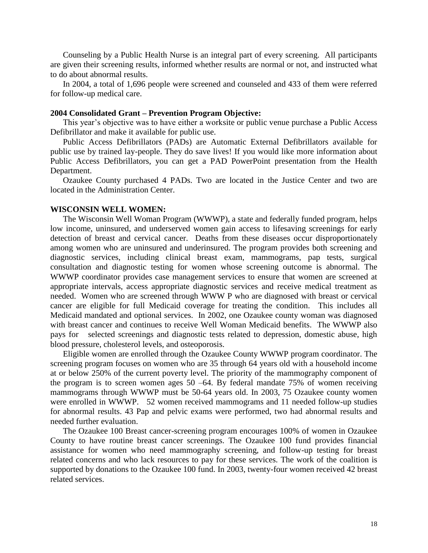Counseling by a Public Health Nurse is an integral part of every screening. All participants are given their screening results, informed whether results are normal or not, and instructed what to do about abnormal results.

In 2004, a total of 1,696 people were screened and counseled and 433 of them were referred for follow-up medical care.

#### **2004 Consolidated Grant – Prevention Program Objective:**

This year's objective was to have either a worksite or public venue purchase a Public Access Defibrillator and make it available for public use.

Public Access Defibrillators (PADs) are Automatic External Defibrillators available for public use by trained lay-people. They do save lives! If you would like more information about Public Access Defibrillators, you can get a PAD PowerPoint presentation from the Health Department.

Ozaukee County purchased 4 PADs. Two are located in the Justice Center and two are located in the Administration Center.

#### **WISCONSIN WELL WOMEN:**

The Wisconsin Well Woman Program (WWWP), a state and federally funded program, helps low income, uninsured, and underserved women gain access to lifesaving screenings for early detection of breast and cervical cancer. Deaths from these diseases occur disproportionately among women who are uninsured and underinsured. The program provides both screening and diagnostic services, including clinical breast exam, mammograms, pap tests, surgical consultation and diagnostic testing for women whose screening outcome is abnormal. The WWWP coordinator provides case management services to ensure that women are screened at appropriate intervals, access appropriate diagnostic services and receive medical treatment as needed. Women who are screened through WWW P who are diagnosed with breast or cervical cancer are eligible for full Medicaid coverage for treating the condition. This includes all Medicaid mandated and optional services. In 2002, one Ozaukee county woman was diagnosed with breast cancer and continues to receive Well Woman Medicaid benefits. The WWWP also pays for selected screenings and diagnostic tests related to depression, domestic abuse, high blood pressure, cholesterol levels, and osteoporosis.

Eligible women are enrolled through the Ozaukee County WWWP program coordinator. The screening program focuses on women who are 35 through 64 years old with a household income at or below 250% of the current poverty level. The priority of the mammography component of the program is to screen women ages 50 –64. By federal mandate 75% of women receiving mammograms through WWWP must be 50-64 years old. In 2003, 75 Ozaukee county women were enrolled in WWWP. 52 women received mammograms and 11 needed follow-up studies for abnormal results. 43 Pap and pelvic exams were performed, two had abnormal results and needed further evaluation.

The Ozaukee 100 Breast cancer-screening program encourages 100% of women in Ozaukee County to have routine breast cancer screenings. The Ozaukee 100 fund provides financial assistance for women who need mammography screening, and follow-up testing for breast related concerns and who lack resources to pay for these services. The work of the coalition is supported by donations to the Ozaukee 100 fund. In 2003, twenty-four women received 42 breast related services.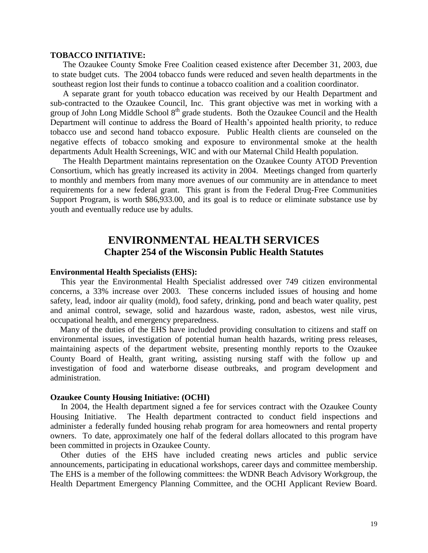#### **TOBACCO INITIATIVE:**

The Ozaukee County Smoke Free Coalition ceased existence after December 31, 2003, due to state budget cuts. The 2004 tobacco funds were reduced and seven health departments in the southeast region lost their funds to continue a tobacco coalition and a coalition coordinator.

A separate grant for youth tobacco education was received by our Health Department and sub-contracted to the Ozaukee Council, Inc. This grant objective was met in working with a group of John Long Middle School  $8<sup>th</sup>$  grade students. Both the Ozaukee Council and the Health Department will continue to address the Board of Health's appointed health priority, to reduce tobacco use and second hand tobacco exposure. Public Health clients are counseled on the negative effects of tobacco smoking and exposure to environmental smoke at the health departments Adult Health Screenings, WIC and with our Maternal Child Health population.

The Health Department maintains representation on the Ozaukee County ATOD Prevention Consortium, which has greatly increased its activity in 2004. Meetings changed from quarterly to monthly and members from many more avenues of our community are in attendance to meet requirements for a new federal grant. This grant is from the Federal Drug-Free Communities Support Program, is worth \$86,933.00, and its goal is to reduce or eliminate substance use by youth and eventually reduce use by adults.

# **ENVIRONMENTAL HEALTH SERVICES Chapter 254 of the Wisconsin Public Health Statutes**

#### **Environmental Health Specialists (EHS):**

 This year the Environmental Health Specialist addressed over 749 citizen environmental concerns, a 33% increase over 2003. These concerns included issues of housing and home safety, lead, indoor air quality (mold), food safety, drinking, pond and beach water quality, pest and animal control, sewage, solid and hazardous waste, radon, asbestos, west nile virus, occupational health, and emergency preparedness.

 Many of the duties of the EHS have included providing consultation to citizens and staff on environmental issues, investigation of potential human health hazards, writing press releases, maintaining aspects of the department website, presenting monthly reports to the Ozaukee County Board of Health, grant writing, assisting nursing staff with the follow up and investigation of food and waterborne disease outbreaks, and program development and administration.

#### **Ozaukee County Housing Initiative: (OCHI)**

 In 2004, the Health department signed a fee for services contract with the Ozaukee County Housing Initiative. The Health department contracted to conduct field inspections and administer a federally funded housing rehab program for area homeowners and rental property owners. To date, approximately one half of the federal dollars allocated to this program have been committed in projects in Ozaukee County.

 Other duties of the EHS have included creating news articles and public service announcements, participating in educational workshops, career days and committee membership. The EHS is a member of the following committees: the WDNR Beach Advisory Workgroup, the Health Department Emergency Planning Committee, and the OCHI Applicant Review Board.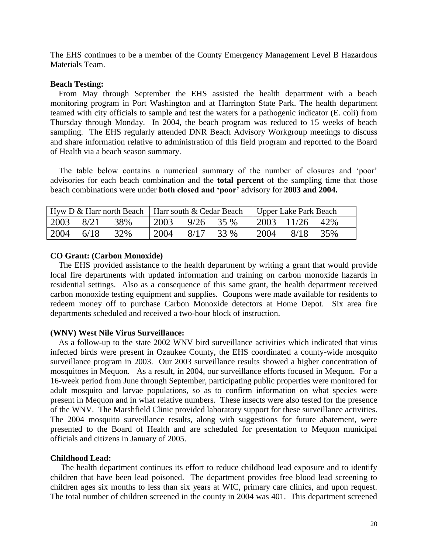The EHS continues to be a member of the County Emergency Management Level B Hazardous Materials Team.

#### **Beach Testing:**

 From May through September the EHS assisted the health department with a beach monitoring program in Port Washington and at Harrington State Park. The health department teamed with city officials to sample and test the waters for a pathogenic indicator (E. coli) from Thursday through Monday. In 2004, the beach program was reduced to 15 weeks of beach sampling. The EHS regularly attended DNR Beach Advisory Workgroup meetings to discuss and share information relative to administration of this field program and reported to the Board of Health via a beach season summary.

 The table below contains a numerical summary of the number of closures and 'poor' advisories for each beach combination and the **total percent** of the sampling time that those beach combinations were under **both closed and 'poor'** advisory for **2003 and 2004.**

| Hyw D & Harr north Beach   Harr south & Cedar Beach   Upper Lake Park Beach |                                                      |     |                           |           |  |       |                        |  |
|-----------------------------------------------------------------------------|------------------------------------------------------|-----|---------------------------|-----------|--|-------|------------------------|--|
|                                                                             | $\begin{array}{cccc} 2003 & 8/21 & 38\% \end{array}$ |     | $\frac{12003}{9/26}$ 35 % |           |  |       | $12003$ $11/26$ $42\%$ |  |
| 2004                                                                        | 6/18                                                 | 32% | 2004                      | 8/17 33 % |  | 12004 | 8/18 35%               |  |

#### **CO Grant: (Carbon Monoxide)**

 The EHS provided assistance to the health department by writing a grant that would provide local fire departments with updated information and training on carbon monoxide hazards in residential settings. Also as a consequence of this same grant, the health department received carbon monoxide testing equipment and supplies. Coupons were made available for residents to redeem money off to purchase Carbon Monoxide detectors at Home Depot. Six area fire departments scheduled and received a two-hour block of instruction.

#### **(WNV) West Nile Virus Surveillance:**

 As a follow-up to the state 2002 WNV bird surveillance activities which indicated that virus infected birds were present in Ozaukee County, the EHS coordinated a county-wide mosquito surveillance program in 2003. Our 2003 surveillance results showed a higher concentration of mosquitoes in Mequon. As a result, in 2004, our surveillance efforts focused in Mequon. For a 16-week period from June through September, participating public properties were monitored for adult mosquito and larvae populations, so as to confirm information on what species were present in Mequon and in what relative numbers. These insects were also tested for the presence of the WNV. The Marshfield Clinic provided laboratory support for these surveillance activities. The 2004 mosquito surveillance results, along with suggestions for future abatement, were presented to the Board of Health and are scheduled for presentation to Mequon municipal officials and citizens in January of 2005.

#### **Childhood Lead:**

 The health department continues its effort to reduce childhood lead exposure and to identify children that have been lead poisoned. The department provides free blood lead screening to children ages six months to less than six years at WIC, primary care clinics, and upon request. The total number of children screened in the county in 2004 was 401. This department screened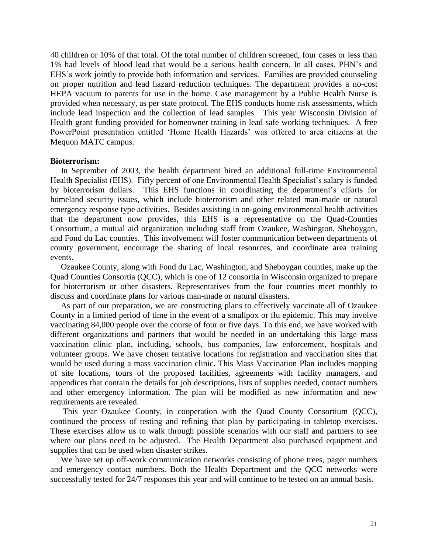40 children or 10% of that total. Of the total number of children screened, four cases or less than 1% had levels of blood lead that would be a serious health concern. In all cases, PHN's and EHS's work jointly to provide both information and services. Families are provided counseling on proper nutrition and lead hazard reduction techniques. The department provides a no-cost HEPA vacuum to parents for use in the home. Case management by a Public Health Nurse is provided when necessary, as per state protocol. The EHS conducts home risk assessments, which include lead inspection and the collection of lead samples. This year Wisconsin Division of Health grant funding provided for homeowner training in lead safe working techniques. A free PowerPoint presentation entitled 'Home Health Hazards' was offered to area citizens at the Mequon MATC campus.

#### **Bioterrorism:**

 In September of 2003, the health department hired an additional full-time Environmental Health Specialist (EHS). Fifty percent of one Environmental Health Specialist's salary is funded by bioterrorism dollars. This EHS functions in coordinating the department's efforts for homeland security issues, which include bioterrorism and other related man-made or natural emergency response type activities. Besides assisting in on-going environmental health activities that the department now provides, this EHS is a representative on the Quad-Counties Consortium, a mutual aid organization including staff from Ozaukee, Washington, Sheboygan, and Fond du Lac counties. This involvement will foster communication between departments of county government, encourage the sharing of local resources, and coordinate area training events.

 Ozaukee County, along with Fond du Lac, Washington, and Sheboygan counties, make up the Quad Counties Consortia (QCC), which is one of 12 consortia in Wisconsin organized to prepare for bioterrorism or other disasters. Representatives from the four counties meet monthly to discuss and coordinate plans for various man-made or natural disasters.

 As part of our preparation, we are constructing plans to effectively vaccinate all of Ozaukee County in a limited period of time in the event of a smallpox or flu epidemic. This may involve vaccinating 84,000 people over the course of four or five days. To this end, we have worked with different organizations and partners that would be needed in an undertaking this large mass vaccination clinic plan, including, schools, bus companies, law enforcement, hospitals and volunteer groups. We have chosen tentative locations for registration and vaccination sites that would be used during a mass vaccination clinic. This Mass Vaccination Plan includes mapping of site locations, tours of the proposed facilities, agreements with facility managers, and appendices that contain the details for job descriptions, lists of supplies needed, contact numbers and other emergency information. The plan will be modified as new information and new requirements are revealed.

 This year Ozaukee County, in cooperation with the Quad County Consortium (QCC), continued the process of testing and refining that plan by participating in tabletop exercises. These exercises allow us to walk through possible scenarios with our staff and partners to see where our plans need to be adjusted. The Health Department also purchased equipment and supplies that can be used when disaster strikes.

 We have set up off-work communication networks consisting of phone trees, pager numbers and emergency contact numbers. Both the Health Department and the QCC networks were successfully tested for 24/7 responses this year and will continue to be tested on an annual basis.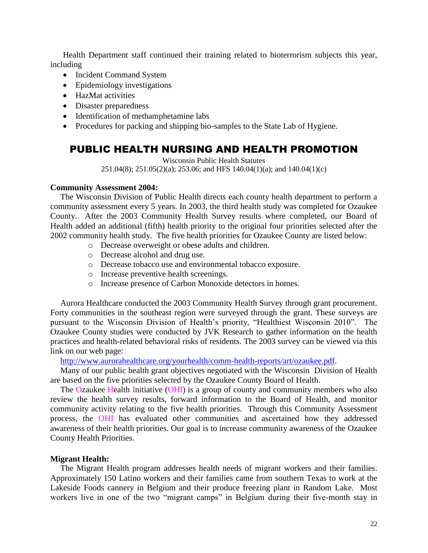Health Department staff continued their training related to bioterrorism subjects this year, including

- Incident Command System
- Epidemiology investigations
- HazMat activities
- Disaster preparedness
- Identification of methamphetamine labs
- Procedures for packing and shipping bio-samples to the State Lab of Hygiene.

# PUBLIC HEALTH NURSING AND HEALTH PROMOTION

Wisconsin Public Health Statutes 251.04(8); 251.05(2)(a); 253.06; and HFS 140.04(1)(a); and 140.04(1)(c)

#### **Community Assessment 2004:**

The Wisconsin Division of Public Health directs each county health department to perform a community assessment every 5 years. In 2003, the third health study was completed for Ozaukee County. After the 2003 Community Health Survey results where completed, our Board of Health added an additional (fifth) health priority to the original four priorities selected after the 2002 community health study. The five health priorities for Ozaukee County are listed below:

- o Decrease overweight or obese adults and children.
- o Decrease alcohol and drug use.
- o Decrease tobacco use and environmental tobacco exposure.
- o Increase preventive health screenings.
- o Increase presence of Carbon Monoxide detectors in homes.

Aurora Healthcare conducted the 2003 Community Health Survey through grant procurement. Forty communities in the southeast region were surveyed through the grant. These surveys are pursuant to the Wisconsin Division of Health's priority, "Healthiest Wisconsin 2010". The Ozaukee County studies were conducted by JVK Research to gather information on the health practices and health-related behavioral risks of residents. The 2003 survey can be viewed via this link on our web page:

[http://www.aurorahealthcare.org/yourhealth/comm-health-reports/art/ozaukee.pdf.](http://www.aurorahealthcare.org/yourhealth/comm-health-reports/art/ozaukee.pdf)

Many of our public health grant objectives negotiated with the Wisconsin Division of Health are based on the five priorities selected by the Ozaukee County Board of Health.

The Ozaukee Health Initiative (OHI) is a group of county and community members who also review the health survey results, forward information to the Board of Health, and monitor community activity relating to the five health priorities. Through this Community Assessment process, the OHI has evaluated other communities and ascertained how they addressed awareness of their health priorities. Our goal is to increase community awareness of the Ozaukee County Health Priorities.

#### **Migrant Health:**

The Migrant Health program addresses health needs of migrant workers and their families. Approximately 150 Latino workers and their families came from southern Texas to work at the Lakeside Foods cannery in Belgium and their produce freezing plant in Random Lake. Most workers live in one of the two "migrant camps" in Belgium during their five-month stay in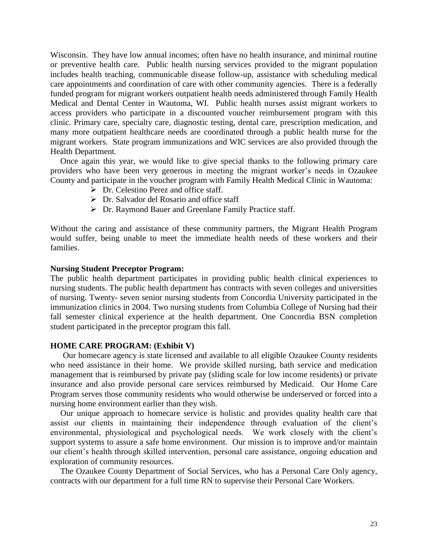Wisconsin. They have low annual incomes; often have no health insurance, and minimal routine or preventive health care. Public health nursing services provided to the migrant population includes health teaching, communicable disease follow-up, assistance with scheduling medical care appointments and coordination of care with other community agencies. There is a federally funded program for migrant workers outpatient health needs administered through Family Health Medical and Dental Center in Wautoma, WI. Public health nurses assist migrant workers to access providers who participate in a discounted voucher reimbursement program with this clinic. Primary care, specialty care, diagnostic testing, dental care, prescription medication, and many more outpatient healthcare needs are coordinated through a public health nurse for the migrant workers. State program immunizations and WIC services are also provided through the Health Department.

Once again this year, we would like to give special thanks to the following primary care providers who have been very generous in meeting the migrant worker's needs in Ozaukee County and participate in the voucher program with Family Health Medical Clinic in Wautoma:

- $\triangleright$  Dr. Celestino Perez and office staff.
- Dr. Salvador del Rosario and office staff
- Dr. Raymond Bauer and Greenlane Family Practice staff.

Without the caring and assistance of these community partners, the Migrant Health Program would suffer, being unable to meet the immediate health needs of these workers and their families.

#### **Nursing Student Preceptor Program:**

The public health department participates in providing public health clinical experiences to nursing students. The public health department has contracts with seven colleges and universities of nursing. Twenty- seven senior nursing students from Concordia University participated in the immunization clinics in 2004. Two nursing students from Columbia College of Nursing had their fall semester clinical experience at the health department. One Concordia BSN completion student participated in the preceptor program this fall.

#### **HOME CARE PROGRAM: (Exhibit V)**

Our homecare agency is state licensed and available to all eligible Ozaukee County residents who need assistance in their home. We provide skilled nursing, bath service and medication management that is reimbursed by private pay (sliding scale for low income residents) or private insurance and also provide personal care services reimbursed by Medicaid. Our Home Care Program serves those community residents who would otherwise be underserved or forced into a nursing home environment earlier than they wish.

Our unique approach to homecare service is holistic and provides quality health care that assist our clients in maintaining their independence through evaluation of the client's environmental, physiological and psychological needs. We work closely with the client's support systems to assure a safe home environment. Our mission is to improve and/or maintain our client's health through skilled intervention, personal care assistance, ongoing education and exploration of community resources.

The Ozaukee County Department of Social Services, who has a Personal Care Only agency, contracts with our department for a full time RN to supervise their Personal Care Workers.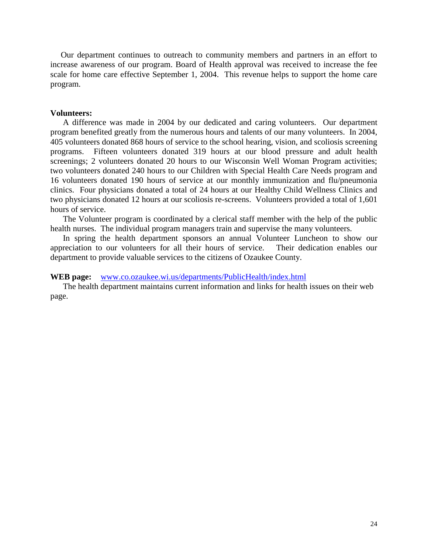Our department continues to outreach to community members and partners in an effort to increase awareness of our program. Board of Health approval was received to increase the fee scale for home care effective September 1, 2004. This revenue helps to support the home care program.

#### **Volunteers:**

A difference was made in 2004 by our dedicated and caring volunteers. Our department program benefited greatly from the numerous hours and talents of our many volunteers. In 2004, 405 volunteers donated 868 hours of service to the school hearing, vision, and scoliosis screening programs. Fifteen volunteers donated 319 hours at our blood pressure and adult health screenings; 2 volunteers donated 20 hours to our Wisconsin Well Woman Program activities; two volunteers donated 240 hours to our Children with Special Health Care Needs program and 16 volunteers donated 190 hours of service at our monthly immunization and flu/pneumonia clinics. Four physicians donated a total of 24 hours at our Healthy Child Wellness Clinics and two physicians donated 12 hours at our scoliosis re-screens. Volunteers provided a total of 1,601 hours of service.

The Volunteer program is coordinated by a clerical staff member with the help of the public health nurses. The individual program managers train and supervise the many volunteers.

In spring the health department sponsors an annual Volunteer Luncheon to show our appreciation to our volunteers for all their hours of service. Their dedication enables our department to provide valuable services to the citizens of Ozaukee County.

#### **WEB page:** [www.co.ozaukee.wi.us/departments/PublicHealth/index.html](http://www.co.ozaukee.wi.us/departments/PublicHealth/index.html)

The health department maintains current information and links for health issues on their web page.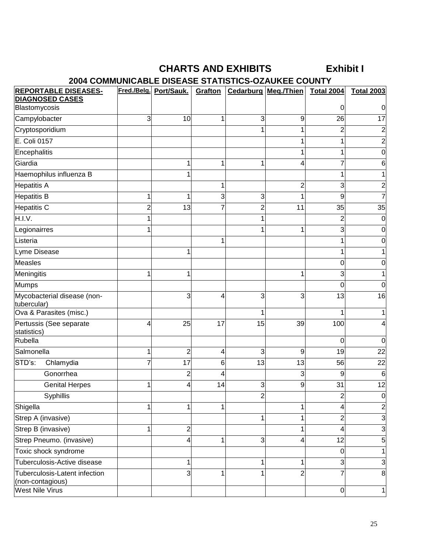# **CHARTS AND EXHIBITS Exhibit I**

# **2004 COMMUNICABLE DISEASE STATISTICS-OZAUKEE COUNTY**

| <b>REPORTABLE DISEASES-</b><br><b>DIAGNOSED CASES</b> |                | Fred./Belg. Port/Sauk. | Grafton |                | <b>Cedarburg Meg./Thien</b> | <b>Total 2004</b> | <b>Total 2003</b> |
|-------------------------------------------------------|----------------|------------------------|---------|----------------|-----------------------------|-------------------|-------------------|
| Blastomycosis                                         |                |                        |         |                |                             | O                 | 0                 |
| Campylobacter                                         | $\overline{3}$ | 10                     | 1       | 3              | 9                           | 26                | 17                |
| Cryptosporidium                                       |                |                        |         | 1              | 1                           | $\overline{c}$    | 2                 |
| E. Coli 0157                                          |                |                        |         |                |                             |                   |                   |
| Encephalitis                                          |                |                        |         |                |                             |                   | 0                 |
| Giardia                                               |                | 1                      | 1       | 1              | 4                           |                   | 6                 |
| Haemophilus influenza B                               |                |                        |         |                |                             | 1                 |                   |
| <b>Hepatitis A</b>                                    |                |                        |         |                | $\overline{c}$              | 3                 | 2                 |
| <b>Hepatitis B</b>                                    | 1              | 1                      | 3       | 3              | 1                           | 9                 |                   |
| Hepatitis C                                           | $\overline{2}$ | 13                     |         | $\overline{2}$ | 11                          | 35                | 35                |
| H.I.V.                                                |                |                        |         |                |                             | $\overline{c}$    | 0                 |
| Legionairres                                          |                |                        |         |                | 1                           | 3                 |                   |
| Listeria                                              |                |                        | 1       |                |                             | 1                 | O                 |
| Lyme Disease                                          |                | 1                      |         |                |                             | 1                 |                   |
| <b>Measles</b>                                        |                |                        |         |                |                             | 0                 | O                 |
| Meningitis                                            | 1              | 1                      |         |                | 1                           | 3                 |                   |
| <b>Mumps</b>                                          |                |                        |         |                |                             | 0                 | 0                 |
| Mycobacterial disease (non-<br>tubercular)            |                | 3                      | 4       | 3              | 3                           | 13                | 16                |
| Ova & Parasites (misc.)                               |                |                        |         |                |                             | 1                 |                   |
| Pertussis (See separate<br>statistics)                | 4              | 25                     | 17      | 15             | 39                          | 100               |                   |
| Rubella                                               |                |                        |         |                |                             | 0                 | 0                 |
| Salmonella                                            |                | $\overline{c}$         | 4       | 3              | 9                           | 19                | 22                |
| STD's:<br>Chlamydia                                   | 7              | 17                     | 6       | 13             | 13                          | 56                | 22                |
| Gonorrhea                                             |                | $\overline{c}$         | 4       |                | 3                           | 9                 | 6                 |
| <b>Genital Herpes</b>                                 | 1              | 4                      | 14      | 3              | 9                           | 31                | 12                |
| Syphillis                                             |                |                        |         | $\overline{2}$ |                             | $\overline{2}$    | 0                 |
| Shigella                                              |                | 1                      |         |                | 1                           | 4                 | $\overline{c}$    |
| Strep A (invasive)                                    |                |                        |         |                |                             | $\overline{c}$    | 3                 |
| Strep B (invasive)                                    | 1              | $\overline{c}$         |         |                | 1                           | 4                 | 3                 |
| Strep Pneumo. (invasive)                              |                | 4                      | 1       | $\overline{3}$ | 4                           | 12                | 5                 |
| Toxic shock syndrome                                  |                |                        |         |                |                             | 0                 |                   |
| Tuberculosis-Active disease                           |                | 1                      |         | $\mathbf{1}$   | 1                           | 3                 | 3                 |
| Tuberculosis-Latent infection<br>(non-contagious)     |                | 3                      | 1       | 1              | $\overline{2}$              | 7                 | 8                 |
| <b>West Nile Virus</b>                                |                |                        |         |                |                             | $\overline{0}$    | $\mathbf{1}$      |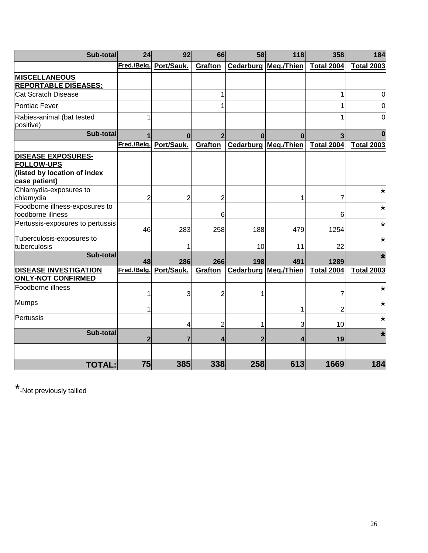| Sub-total                                                                                       | 24                      | 92             | 66             | 58           | 118                         | 358               | 184               |
|-------------------------------------------------------------------------------------------------|-------------------------|----------------|----------------|--------------|-----------------------------|-------------------|-------------------|
|                                                                                                 | Fred./Belg.             | Port/Sauk.     | Grafton        |              | <b>Cedarburg Meg./Thien</b> | <b>Total 2004</b> | <b>Total 2003</b> |
| <b>MISCELLANEOUS</b><br><b>REPORTABLE DISEASES:</b>                                             |                         |                |                |              |                             |                   |                   |
| <b>Cat Scratch Disease</b>                                                                      |                         |                | 1              |              |                             | 1                 | 0                 |
| <b>Pontiac Fever</b>                                                                            |                         |                | 1              |              |                             | 1                 | 0                 |
| Rabies-animal (bat tested<br>positive)                                                          | 1                       |                |                |              |                             |                   | 0                 |
| Sub-total                                                                                       |                         | $\bf{0}$       |                | $\Omega$     | $\Omega$                    |                   | $\Omega$          |
|                                                                                                 | Fred./Belg.             | Port/Sauk.     | <b>Grafton</b> |              | Cedarburg Meg./Thien        | <b>Total 2004</b> | <b>Total 2003</b> |
| <b>DISEASE EXPOSURES-</b><br><b>FOLLOW-UPS</b><br>(listed by location of index<br>case patient) |                         |                |                |              |                             |                   |                   |
| Chlamydia-exposures to<br>chlamydia                                                             | $\overline{2}$          | 2              | $\overline{c}$ |              | 1                           | 7                 | *                 |
| Foodborne illness-exposures to<br>foodborne illness                                             |                         |                | 6              |              |                             | 6                 | $\star$           |
| Pertussis-exposures to pertussis                                                                | 46                      | 283            | 258            | 188          | 479                         | 1254              | *                 |
| Tuberculosis-exposures to<br>tuberculosis                                                       |                         | 1              |                | 10           | 11                          | 22                | *                 |
| Sub-total                                                                                       | 48                      | 286            | 266            | 198          | 491                         | 1289              | $\star$           |
| <b>DISEASE INVESTIGATION</b><br><b>ONLY-NOT CONFIRMED</b>                                       | Fred./Belg.             | Port/Sauk.     | <b>Grafton</b> |              | <b>Cedarburg Meg./Thien</b> | <b>Total 2004</b> | <b>Total 2003</b> |
| Foodborne illness                                                                               | 1                       | 3              | $\overline{2}$ | 1            |                             | 7                 | *                 |
| <b>Mumps</b>                                                                                    | 1                       |                |                |              | 1                           | 2                 | *                 |
| Pertussis                                                                                       |                         | 4              | 2              | 1            | 3                           | 10                | *                 |
| Sub-total                                                                                       | $\overline{\mathbf{2}}$ | $\overline{7}$ | 4              | $\mathbf{2}$ | 4                           | 19                | $\star$           |
|                                                                                                 |                         |                |                |              |                             |                   |                   |
| <b>TOTAL:</b>                                                                                   | 75                      | 385            | 338            | 258          | 613                         | 1669              | 184               |

\*-Not previously tallied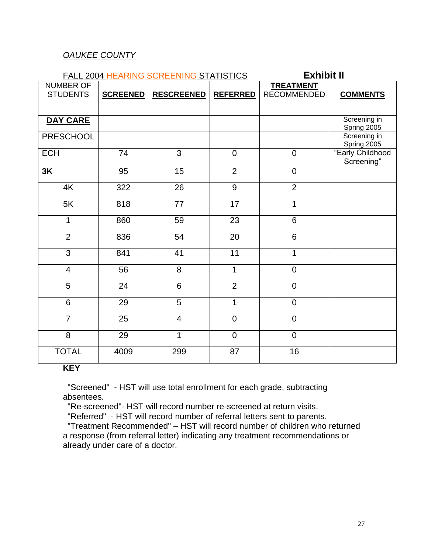# *OAUKEE COUNTY*

| FALL 2004 HEARING SCREENING STATISTICS | <b>Exhibit II</b> |                   |                 |                                        |                                |
|----------------------------------------|-------------------|-------------------|-----------------|----------------------------------------|--------------------------------|
| <b>NUMBER OF</b><br><b>STUDENTS</b>    | <b>SCREENED</b>   | <b>RESCREENED</b> | <b>REFERRED</b> | <b>TREATMENT</b><br><b>RECOMMENDED</b> | <b>COMMENTS</b>                |
|                                        |                   |                   |                 |                                        |                                |
| DAY CARE                               |                   |                   |                 |                                        | Screening in<br>Spring 2005    |
| <b>PRESCHOOL</b>                       |                   |                   |                 |                                        | Screening in<br>Spring 2005    |
| <b>ECH</b>                             | 74                | 3                 | $\mathbf 0$     | $\mathbf 0$                            | "Early Childhood<br>Screening" |
| 3K                                     | 95                | 15                | $\overline{2}$  | $\overline{0}$                         |                                |
| 4K                                     | 322               | 26                | 9               | $\overline{2}$                         |                                |
| 5K                                     | 818               | 77                | 17              | 1                                      |                                |
| $\overline{1}$                         | 860               | 59                | 23              | $6\phantom{1}$                         |                                |
| $\overline{2}$                         | 836               | 54                | 20              | 6                                      |                                |
| 3                                      | 841               | 41                | 11              | 1                                      |                                |
| $\overline{\mathcal{A}}$               | 56                | 8                 | 1               | $\mathbf 0$                            |                                |
| 5                                      | 24                | $6\phantom{1}$    | $\overline{2}$  | $\mathbf 0$                            |                                |
| $6\phantom{1}$                         | 29                | 5                 | $\mathbf{1}$    | $\overline{0}$                         |                                |
| $\overline{7}$                         | 25                | $\overline{4}$    | $\mathbf 0$     | $\overline{0}$                         |                                |
| $\overline{8}$                         | 29                | 1                 | $\overline{0}$  | $\overline{0}$                         |                                |
| <b>TOTAL</b>                           | 4009              | 299               | 87              | 16                                     |                                |

### **KEY**

 "Screened" - HST will use total enrollment for each grade, subtracting absentees.

"Re-screened"- HST will record number re-screened at return visits.

"Referred" - HST will record number of referral letters sent to parents.

 "Treatment Recommended" – HST will record number of children who returned a response (from referral letter) indicating any treatment recommendations or already under care of a doctor.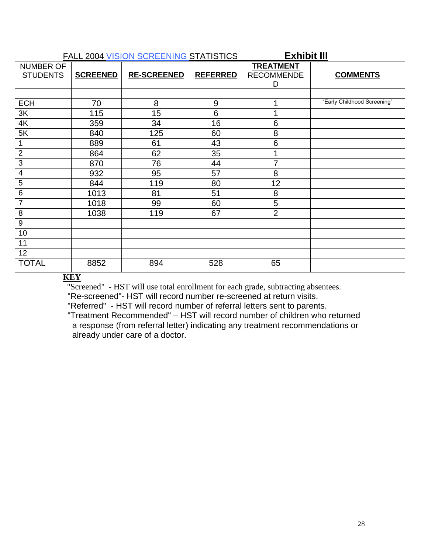|                                     |                 | <b>FALL 2004 VISION SCREENING STATISTICS</b> | <b>Exhibit III</b> |                                            |                             |  |  |
|-------------------------------------|-----------------|----------------------------------------------|--------------------|--------------------------------------------|-----------------------------|--|--|
| <b>NUMBER OF</b><br><b>STUDENTS</b> | <b>SCREENED</b> | <b>RE-SCREENED</b>                           | <b>REFERRED</b>    | <b>TREATMENT</b><br><b>RECOMMENDE</b><br>D | <b>COMMENTS</b>             |  |  |
|                                     |                 |                                              |                    |                                            |                             |  |  |
| <b>ECH</b>                          | 70              | 8                                            | 9                  | 1                                          | "Early Childhood Screening" |  |  |
| 3K                                  | 115             | 15                                           | $6\phantom{1}6$    | 1                                          |                             |  |  |
| 4K                                  | 359             | 34                                           | 16                 | 6                                          |                             |  |  |
| 5K                                  | 840             | 125                                          | 60                 | 8                                          |                             |  |  |
|                                     | 889             | 61                                           | 43                 | 6                                          |                             |  |  |
| $\overline{2}$                      | 864             | 62                                           | 35                 | 1                                          |                             |  |  |
| 3                                   | 870             | 76                                           | 44                 | $\overline{7}$                             |                             |  |  |
| 4                                   | 932             | 95                                           | 57                 | 8                                          |                             |  |  |
| 5                                   | 844             | 119                                          | 80                 | 12                                         |                             |  |  |
| 6                                   | 1013            | 81                                           | 51                 | 8                                          |                             |  |  |
| 7                                   | 1018            | 99                                           | 60                 | 5                                          |                             |  |  |
| 8                                   | 1038            | 119                                          | 67                 | $\overline{2}$                             |                             |  |  |
| 9                                   |                 |                                              |                    |                                            |                             |  |  |
| 10                                  |                 |                                              |                    |                                            |                             |  |  |
| 11                                  |                 |                                              |                    |                                            |                             |  |  |
| 12                                  |                 |                                              |                    |                                            |                             |  |  |
| <b>TOTAL</b>                        | 8852            | 894                                          | 528                | 65                                         |                             |  |  |

### **KEY**

"Screened" - HST will use total enrollment for each grade, subtracting absentees.

"Re-screened"- HST will record number re-screened at return visits.

"Referred" - HST will record number of referral letters sent to parents.

 "Treatment Recommended" – HST will record number of children who returned a response (from referral letter) indicating any treatment recommendations or already under care of a doctor.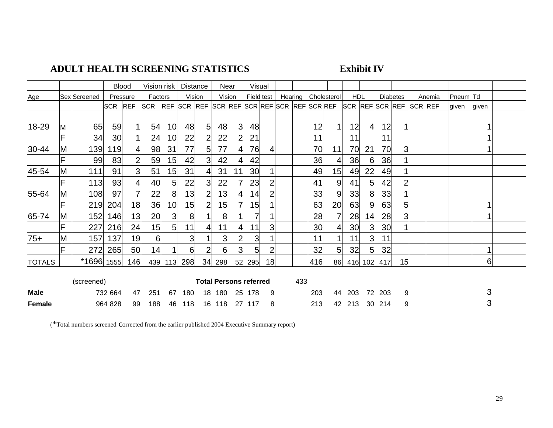# **ADULT HEALTH SCREENING STATISTICS Exhibit IV**

|               |    |              | <b>Blood</b> |                | Vision risk     |                 | <b>Distance</b> |                 |        | Near          |                               | Visual     |         |     |                                 |    |                 |                 |        |                 |                |        |          |       |  |
|---------------|----|--------------|--------------|----------------|-----------------|-----------------|-----------------|-----------------|--------|---------------|-------------------------------|------------|---------|-----|---------------------------------|----|-----------------|-----------------|--------|-----------------|----------------|--------|----------|-------|--|
| Age           |    | Sex Screened |              | Pressure       | Factors         |                 | Vision          |                 |        | Vision        |                               | Field test | Hearing |     | Cholesterol                     |    | <b>HDL</b>      |                 |        | <b>Diabetes</b> |                | Anemia | Pneum Td |       |  |
|               |    |              | <b>SCR</b>   | <b>REF</b>     | <b>SCR</b>      | <b>REF</b>      | SCR REF         |                 |        |               |                               |            |         |     | SCR REF SCR REF SCR REF SCR REF |    | SCR REF SCR REF |                 |        |                 | <b>SCR REF</b> |        | given    | given |  |
|               |    |              |              |                |                 |                 |                 |                 |        |               |                               |            |         |     |                                 |    |                 |                 |        |                 |                |        |          |       |  |
| 18-29         | M  | 65           | 59           | 1              | 54              | 10              | 48              | $5\overline{)}$ | 48     | 3             | 48                            |            |         |     | 12                              |    | 12              | $\vert 4 \vert$ | 12     |                 |                |        |          |       |  |
|               |    | 34           | 30           |                | 24              | 10              | 22              | 2               | 22     | 2             | 21                            |            |         |     | 11                              |    | 11              |                 | 11     |                 |                |        |          |       |  |
| 30-44         | M  | 139          | 119          | 4              | 98              | 31              | 77              | 5 <sup>1</sup>  | 77     | 4             | 76                            |            |         |     | 70                              | 11 | 70              | 21              | 70     | $\overline{3}$  |                |        |          |       |  |
|               |    | 99           | 83           | 2              | 59              | 15              | 42              | 3               | 42     | $\frac{4}{ }$ | 42                            |            |         |     | 36                              |    | 36              | 6               | 36     |                 |                |        |          |       |  |
| 45-54         | M  | 111          | 91           | $\overline{3}$ | 51              | 15              | 31              | 4               | 31     | 11            | 30                            |            |         |     | 49                              | 15 | 49              | 22              | 49     |                 |                |        |          |       |  |
|               | F  | 113          | 93           | 4              | 40              | $5\overline{)}$ | 22              | 3               | 22     | 7             | 23                            |            |         |     | 41                              | 9  | 41              | 5               | 42     | 2               |                |        |          |       |  |
| 55-64         | M  | 108          | 97           | 7              | 22              | 8               | 13              | $\overline{2}$  | 13     | 41            | 14                            |            |         |     | 33                              | 9  | 33              | 8               | 33     |                 |                |        |          |       |  |
|               |    | 219          | 204          | 18             | 36              | 10              | 15              | $\overline{2}$  | 15     | 7             | 15                            |            |         |     | 63                              | 20 | 63              | 9               | 63     | 5               |                |        |          |       |  |
| 65-74         | M  | 152          | 146          | 13             | 20              | $\overline{3}$  | 8               |                 | 8      |               | 7                             |            |         |     | 28                              |    | 28              | 14              | 28     | 3               |                |        |          |       |  |
|               | IF | 227          | 216          | 24             | 15 <sub>l</sub> | 5 <sup>1</sup>  | 11              | 4               | 11     | 4             | 11                            | 3          |         |     | 30                              |    | 30              | 3               | 30     |                 |                |        |          |       |  |
| $75+$         | M  | 157          | 137          | 19             | 6               |                 | $\overline{3}$  |                 | 3      | 2             | 3                             |            |         |     | 11                              |    | 11              | 3 <sup>l</sup>  | 11     |                 |                |        |          |       |  |
|               |    | 272          | 265          | 50             | 14              | 1               | 6               | $\overline{2}$  | 6      | 3             | 5                             |            |         |     | 32                              | 5  | 32              | 5 <sub>l</sub>  | 32     |                 |                |        |          |       |  |
| <b>TOTALS</b> |    | *1696 1555   |              | 146            | 439             | 113             | 298             | 34              | 298    | 52            | 295                           | 18         |         |     | 416                             | 86 | 416             | 102             | 417    | 15              |                |        |          | 6     |  |
|               |    | (screened)   |              |                |                 |                 |                 |                 |        |               | <b>Total Persons referred</b> |            |         | 433 |                                 |    |                 |                 |        |                 |                |        |          |       |  |
| Male          |    |              | 732 664      | 47             | 251             | 67              | 180             |                 | 18 180 |               | 25 178                        | 9          |         |     | 203                             |    | 44 203          |                 | 72 203 | 9               |                |        |          | 3     |  |

**Female** 964 828 99 188 46 118 16 118 27 117 8 213 42 213 30 214 9 3

(\*Total numbers screened corrected from the earlier published 2004 Executive Summary report)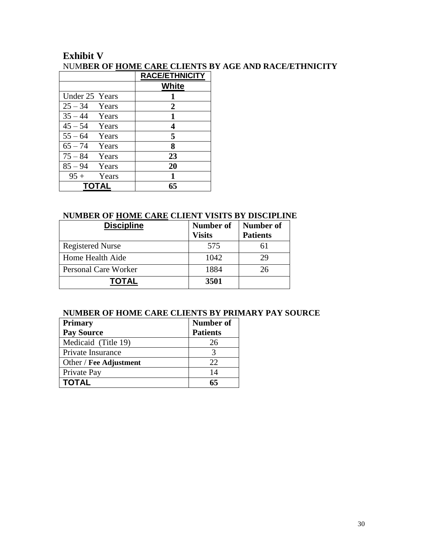# **Exhibit V**  NUM**BER OF HOME CARE CLIENTS BY AGE AND RACE/ETHNICITY**

|                 | <b>RACE/ETHNICITY</b> |
|-----------------|-----------------------|
|                 | <b>White</b>          |
| Under 25 Years  | 1                     |
| $25 - 34$ Years | 2                     |
| $35 - 44$ Years | 1                     |
| $45 - 54$ Years | 4                     |
| $55 - 64$ Years | 5                     |
| $65 - 74$ Years | 8                     |
| $75 - 84$ Years | 23                    |
| $85 - 94$ Years | 20                    |
| $95+$<br>Years  | 1                     |
| <b>TOTAL</b>    | 65                    |

### **NUMBER OF HOME CARE CLIENT VISITS BY DISCIPLINE**

| <b>Discipline</b>       | Number of<br><b>Visits</b> | Number of<br><b>Patients</b> |
|-------------------------|----------------------------|------------------------------|
| <b>Registered Nurse</b> | 575                        |                              |
| Home Health Aide        | 1042                       | 29                           |
| Personal Care Worker    | 1884                       | 26                           |
| TOTAL                   | 3501                       |                              |

# **NUMBER OF HOME CARE CLIENTS BY PRIMARY PAY SOURCE**

| Primary                | Number of       |
|------------------------|-----------------|
| <b>Pay Source</b>      | <b>Patients</b> |
| Medicaid (Title 19)    | 26              |
| Private Insurance      |                 |
| Other / Fee Adjustment | 22              |
| Private Pay            | 14              |
| TOTAL                  | 65              |